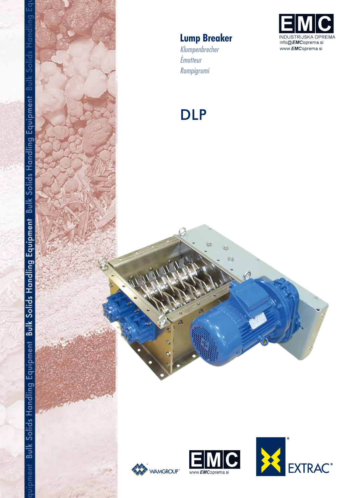

# **Lump Breaker**

Klumpenbrecher Émotteur Rompigrumi

# **DLP**





ä